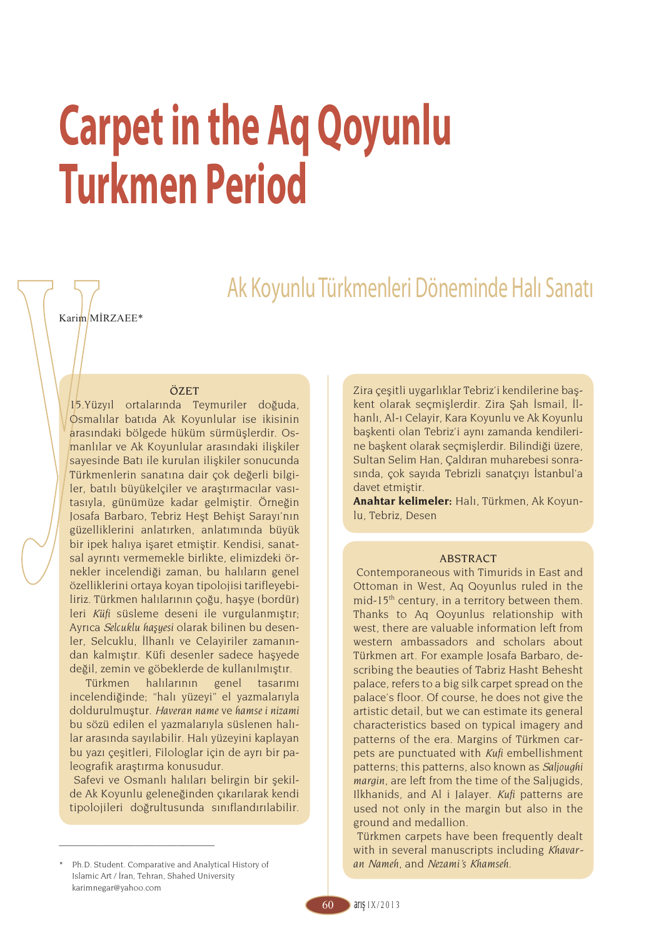# **Carpet in the Aq Qoyunlu Turkmen Period**

Ak Koyunlu Türkmenleri Döneminde Halı Sanatı

Karim MİRZAEE\*

### ÖZET

15.Yüzyıl ortalarında Teymuriler doğuda, Osmalılar batıda Ak Koyunlular ise ikisinin arasındaki bölgede hüküm sürmüşlerdir. Osmanlılar ve Ak Koyunlular arasındaki ilişkiler sayesinde Batı ile kurulan ilişkiler sonucunda Türkmenlerin sanatına dair çok değerli bilgiler, batılı büyükelçiler ve araştırmacılar vasıtasıyla, günümüze kadar gelmiştir. Örneğin Josafa Barbaro, Tebriz Heşt Behişt Sarayı'nın güzelliklerini anlatırken, anlatımında büyük bir ipek halıya işaret etmiştir. Kendisi, sanatsal ayrıntı vermemekle birlikte, elimizdeki örnekler incelendiği zaman, bu halıların genel özelliklerini ortaya koyan tipolojisi tarifleyebiliriz. Türkmen halılarının çoğu, haşye (bordür) leri *Küfi* süsleme deseni ile vurgulanmıştır; Ayrıca *Selcuklu haşyesi* olarak bilinen bu desenler, Selcuklu, İlhanlı ve Celayiriler zamanından kalmıştır. Küfi desenler sadece haşyede değil, zemin ve göbeklerde de kullanılmıştır.

Türkmen halılarının genel tasarımı incelendiğinde; "halı yüzeyi" el yazmalarıyla doldurulmuştur. *Haveran name* ve *hamse i nizami*  bu sözü edilen el yazmalarıyla süslenen halılar arasında sayılabilir. Halı yüzeyini kaplayan bu yazı çeşitleri, Filologlar için de ayrı bir paleografik araştırma konusudur.

 Safevi ve Osmanlı halıları belirgin bir şekilde Ak Koyunlu geleneğinden çıkarılarak kendi tipolojileri doğrultusunda sınıflandırılabilir.

\_\_\_\_\_\_\_\_\_\_\_\_\_\_\_\_\_\_\_\_\_\_\_\_\_\_\_\_\_\_\_\_\_\_\_\_\_

Zira çeşitli uygarlıklar Tebriz'i kendilerine başkent olarak seçmişlerdir. Zira Şah İsmail, İlhanlı, Al-ı Celayir, Kara Koyunlu ve Ak Koyunlu başkenti olan Tebriz'i aynı zamanda kendilerine başkent olarak seçmişlerdir. Bilindiği üzere, Sultan Selim Han, Çaldıran muharebesi sonrasında, çok sayıda Tebrizli sanatçıyı İstanbul'a davet etmiştir.

**Anahtar kelimeler:** Halı, Türkmen, Ak Koyunlu, Tebriz, Desen

# ABSTRACT

 Contemporaneous with Timurids in East and Ottoman in West, Aq Qoyunlus ruled in the mid-15th century, in a territory between them. Thanks to Aq Qoyunlus relationship with west, there are valuable information left from western ambassadors and scholars about Türkmen art. For example Josafa Barbaro, describing the beauties of Tabriz Hasht Behesht palace, refers to a big silk carpet spread on the palace's floor. Of course, he does not give the artistic detail, but we can estimate its general characteristics based on typical imagery and patterns of the era. Margins of Türkmen carpets are punctuated with *Kufi* embellishment patterns; this patterns, also known as *Saljoughi margin*, are left from the time of the Saljugids, Ilkhanids, and Al i Jalayer. *Kufi* patterns are used not only in the margin but also in the ground and medallion.

 Türkmen carpets have been frequently dealt with in several manuscripts including *Khavaran Nameh*, and *Nezami's Khamseh*.

<sup>\*</sup> Ph.D. Student. Comparative and Analytical History of Islamic Art / İran, Tehran, Shahed University karimnegar@yahoo.com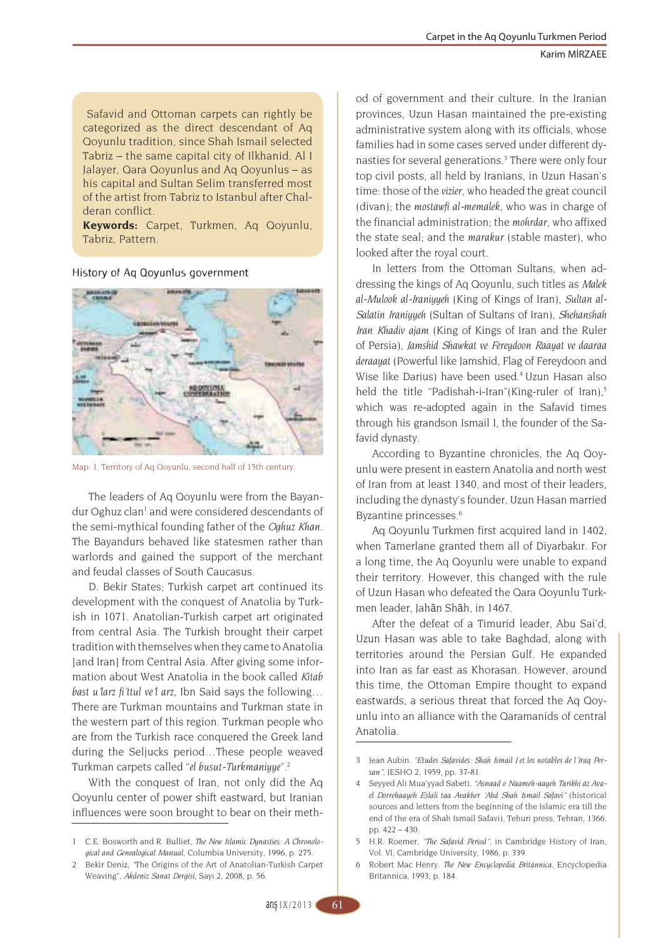Safavid and Ottoman carpets can rightly be categorized as the direct descendant of Aq Qoyunlu tradition, since Shah Ismail selected Tabriz – the same capital city of Ilkhanid, Al I Jalayer, Qara Qoyunlus and Aq Qoyunlus – as his capital and Sultan Selim transferred most of the artist from Tabriz to Istanbul after Chalderan conflict.

**Keywords:** Carpet, Turkmen, Aq Qoyunlu, Tabriz, Pattern.

History of Aq Qoyunlus government



Map. 1, Territory of Aq Qoyunlu, second half of 15th century.

The leaders of Aq Qoyunlu were from the Bayandur Oghuz clan<sup>1</sup> and were considered descendants of the semi-mythical founding father of the *Oghuz Khan*. The Bayandurs behaved like statesmen rather than warlords and gained the support of the merchant and feudal classes of South Caucasus.

D. Bekir States; Turkish carpet art continued its development with the conquest of Anatolia by Turkish in 1071. Anatolian-Turkish carpet art originated from central Asia. The Turkish brought their carpet tradition with themselves when they came to Anatolia [and Iran] from Central Asia. After giving some information about West Anatolia in the book called *Kitab bast u'larz fi'ttul ve'l arz*, Ibn Said says the following… There are Turkman mountains and Turkman state in the western part of this region. Turkman people who are from the Turkish race conquered the Greek land during the Seljucks period…These people weaved Turkman carpets called "*el busut-Turkmaniyye*".<sup>2</sup>

With the conquest of Iran, not only did the Aq Qoyunlu center of power shift eastward, but Iranian influences were soon brought to bear on their method of government and their culture. In the Iranian provinces, Uzun Hasan maintained the pre-existing administrative system along with its officials, whose families had in some cases served under different dynasties for several generations.<sup>3</sup> There were only four top civil posts, all held by Iranians, in Uzun Hasan's time: those of the *vizier*, who headed the great council (divan); the *mostawfi al-memalek*, who was in charge of the financial administration; the *mohrdar*, who affixed the state seal; and the *marakur* (stable master), who looked after the royal court.

In letters from the Ottoman Sultans, when addressing the kings of Aq Qoyunlu, such titles as *Malek al-Mulook al-Iraniyyeh* (King of Kings of Iran), *Sultan al-Salatin Iraniyyeh* (Sultan of Sultans of Iran), *Shehanshah Iran Khadiv ajam* (King of Kings of Iran and the Ruler of Persia), *Jamshid Shawkat ve Fereydoon Raayat ve daaraa deraayat* (Powerful like Jamshid, Flag of Fereydoon and Wise like Darius) have been used.<sup>4</sup> Uzun Hasan also held the title "Padishah-i-Iran"(King-ruler of Iran),<sup>5</sup> which was re-adopted again in the Safavid times through his grandson Ismail I, the founder of the Safavid dynasty.

According to Byzantine chronicles, the Aq Qoyunlu were present in eastern Anatolia and north west of Iran from at least 1340, and most of their leaders, including the dynasty's founder, Uzun Hasan married Byzantine princesses.<sup>6</sup>

Aq Qoyunlu Turkmen first acquired land in 1402, when Tamerlane granted them all of Diyarbakır. For a long time, the Aq Qoyunlu were unable to expand their territory. However, this changed with the rule of Uzun Hasan who defeated the Qara Qoyunlu Turkmen leader, Jahān Shāh, in 1467.

After the defeat of a Timurid leader, Abu Sai'd, Uzun Hasan was able to take Baghdad, along with territories around the Persian Gulf. He expanded into Iran as far east as Khorasan. However, around this time, the Ottoman Empire thought to expand eastwards, a serious threat that forced the Aq Qoyunlu into an alliance with the Qaramanids of central Anatolia.

<sup>1</sup> C.E. Bosworth and R. Bulliet, *The New Islamic Dynasties: A Chronological and Genealogical Manual,* Columbia University, 1996, p. 275.

<sup>2</sup> Bekir Deniz, *"*The Origins of the Art of Anatolian-Turkish Carpet Weaving", *Akdeniz Sanat Dergisi,* Sayı 2, 2008, p. 56.

<sup>3</sup> Jean Aubin. *"Etudes Safavides: Shah Ismail I et les notables de l'Iraq Persan",* JESHO 2, 1959, pp. 37-81.

<sup>4</sup> Seyyed Ali Mua'yyad Sabeti, *"Asnaad o Naameh-aayeh Tarikhi az Avael Dorrehaayeh Eslali taa Avakher 'Ahd Shah Ismail Safavi"* (historical sources and letters from the beginning of the Islamic era till the end of the era of Shah Ismail Safavi), Tehuri press, Tehran, 1366. pp. 422 – 430.

<sup>5</sup> H.R. Roemer, *"The Safavid Period"*, in Cambridge History of Iran, Vol. VI, Cambridge University, 1986, p. 339.

<sup>6</sup> Robert Mac Henry. *The New Encyclopedia Britannica,* Encyclopedia Britannica, 1993, p. 184.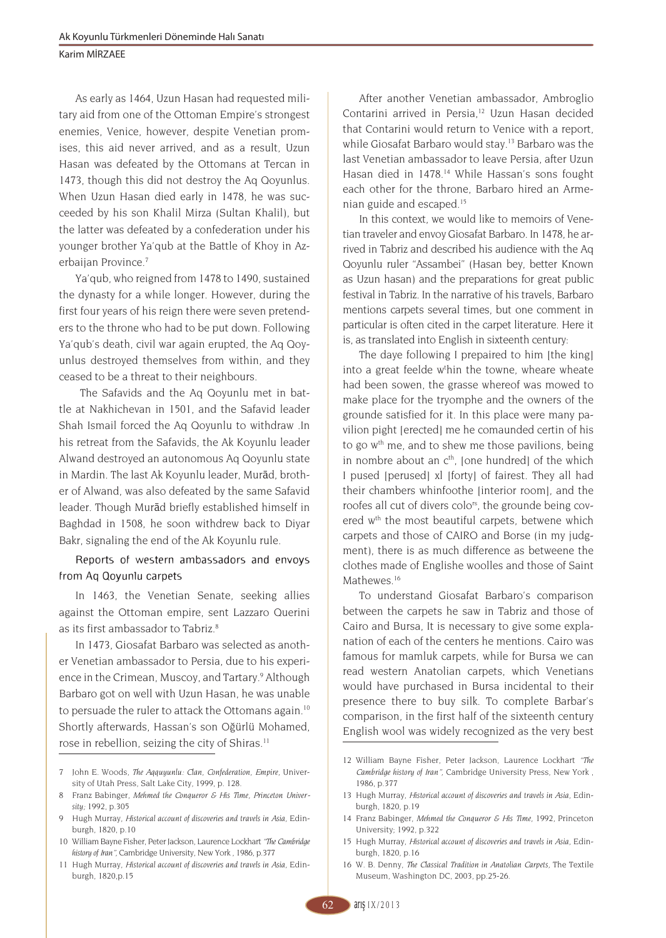As early as 1464, Uzun Hasan had requested military aid from one of the Ottoman Empire's strongest enemies, Venice, however, despite Venetian promises, this aid never arrived, and as a result, Uzun Hasan was defeated by the Ottomans at Tercan in 1473, though this did not destroy the Aq Qoyunlus. When Uzun Hasan died early in 1478, he was succeeded by his son Khalil Mirza (Sultan Khalil), but the latter was defeated by a confederation under his younger brother Ya'qub at the Battle of Khoy in Azerbaijan Province.<sup>7</sup>

Ya'qub, who reigned from 1478 to 1490, sustained the dynasty for a while longer. However, during the first four years of his reign there were seven pretenders to the throne who had to be put down. Following Ya'qub's death, civil war again erupted, the Aq Qoyunlus destroyed themselves from within, and they ceased to be a threat to their neighbours.

 The Safavids and the Aq Qoyunlu met in battle at Nakhichevan in 1501, and the Safavid leader Shah Ismail forced the Aq Qoyunlu to withdraw .In his retreat from the Safavids, the Ak Koyunlu leader Alwand destroyed an autonomous Aq Qoyunlu state in Mardin. The last Ak Koyunlu leader, Murād, brother of Alwand, was also defeated by the same Safavid leader. Though Murād briefly established himself in Baghdad in 1508, he soon withdrew back to Diyar Bakr, signaling the end of the Ak Koyunlu rule.

# Reports of western ambassadors and envoys from Aq Qoyunlu carpets

In 1463, the Venetian Senate, seeking allies against the Ottoman empire, sent Lazzaro Querini as its first ambassador to Tabriz. 8

In 1473, Giosafat Barbaro was selected as another Venetian ambassador to Persia, due to his experience in the Crimean, Muscoy, and Tartary. 9 Although Barbaro got on well with Uzun Hasan, he was unable to persuade the ruler to attack the Ottomans again.<sup>10</sup> Shortly afterwards, Hassan's son Oğürlü Mohamed, rose in rebellion, seizing the city of Shiras. 11

After another Venetian ambassador, Ambroglio Contarini arrived in Persia.<sup>12</sup> Uzun Hasan decided that Contarini would return to Venice with a report, while Giosafat Barbaro would stay.<sup>13</sup> Barbaro was the last Venetian ambassador to leave Persia, after Uzun Hasan died in 1478.<sup>14</sup> While Hassan's sons fought each other for the throne, Barbaro hired an Armenian guide and escaped.<sup>15</sup>

In this context, we would like to memoirs of Venetian traveler and envoy Giosafat Barbaro. In 1478, he arrived in Tabriz and described his audience with the Aq Qoyunlu ruler "Assambei" (Hasan bey, better Known as Uzun hasan) and the preparations for great public festival in Tabriz. In the narrative of his travels, Barbaro mentions carpets several times, but one comment in particular is often cited in the carpet literature. Here it is, as translated into English in sixteenth century:

The daye following I prepaired to him [the king] into a great feelde w<sup>t</sup>hin the towne, wheare wheate had been sowen, the grasse whereof was mowed to make place for the tryomphe and the owners of the grounde satisfied for it. In this place were many pavilion pight [erected] me he comaunded certin of his to go w<sup>th</sup> me, and to shew me those pavilions, being in nombre about an  $c<sup>th</sup>$ . [one hundred] of the which I pused [perused] xl [forty] of fairest. They all had their chambers whinfoothe [interior room], and the roofes all cut of divers colo<sup>rs</sup>, the grounde being covered w<sup>th</sup> the most beautiful carpets, betwene which carpets and those of CAIRO and Borse (in my judgment), there is as much difference as betweene the clothes made of Englishe woolles and those of Saint Mathewes.<sup>16</sup>

To understand Giosafat Barbaro's comparison between the carpets he saw in Tabriz and those of Cairo and Bursa, It is necessary to give some explanation of each of the centers he mentions. Cairo was famous for mamluk carpets, while for Bursa we can read western Anatolian carpets, which Venetians would have purchased in Bursa incidental to their presence there to buy silk. To complete Barbar's comparison, in the first half of the sixteenth century English wool was widely recognized as the very best

<sup>7</sup> John E. Woods, *The Aqquyunlu: Clan, Confederation, Empire,* University of Utah Press, Salt Lake City, 1999, p. 128.

<sup>8</sup> Franz Babinger, *Mehmed the Conqueror & His Time, Princeton University;* 1992, p.305

<sup>9</sup> Hugh Murray, *Historical account of discoveries and travels in Asia*, Edinburgh, 1820, p.10

<sup>10</sup> William Bayne Fisher, Peter Jackson, Laurence Lockhart *"The Cambridge history of Iran",* Cambridge University, New York , 1986, p.377

<sup>11</sup> Hugh Murray, *Historical account of discoveries and travels in Asia,* Edinburgh, 1820,p.15

<sup>12</sup> William Bayne Fisher, Peter Jackson, Laurence Lockhart *"The Cambridge history of Iran",* Cambridge University Press, New York , 1986, p.377

<sup>13</sup> Hugh Murray, *Historical account of discoveries and travels in Asia,* Edinburgh, 1820, p.19

<sup>14</sup> Franz Babinger, *Mehmed the Conqueror & His Time,* 1992, Princeton University; 1992, p.322

<sup>15</sup> Hugh Murray, *Historical account of discoveries and travels in Asia,* Edinburgh, 1820, p.16

<sup>16</sup> W. B. Denny, *The Classical Tradition in Anatolian Carpets,* The Textile Museum, Washington DC, 2003, pp.25-26.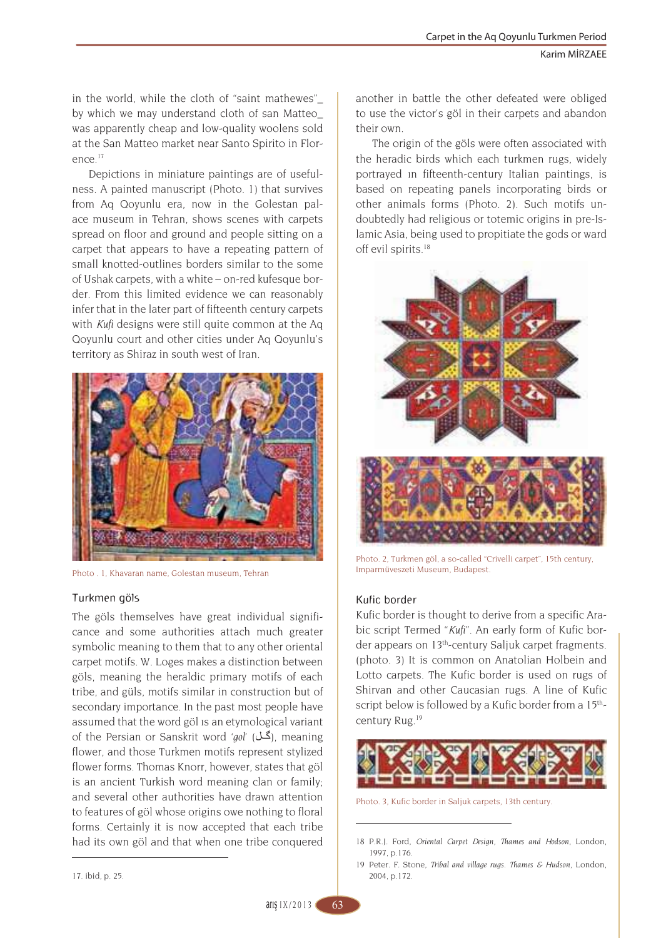in the world, while the cloth of "saint mathewes"\_ by which we may understand cloth of san Matteo\_ was apparently cheap and low-quality woolens sold at the San Matteo market near Santo Spirito in Flor- $P^{\text{n}}$ 

Depictions in miniature paintings are of usefulness. A painted manuscript (Photo. 1) that survives from Aq Qoyunlu era, now in the Golestan palace museum in Tehran, shows scenes with carpets spread on floor and ground and people sitting on a carpet that appears to have a repeating pattern of small knotted-outlines borders similar to the some of Ushak carpets, with a white – on-red kufesque border. From this limited evidence we can reasonably infer that in the later part of fifteenth century carpets with *Kufi* designs were still quite common at the Aq Qoyunlu court and other cities under Aq Qoyunlu's territory as Shiraz in south west of Iran.



Photo . 1, Khavaran name, Golestan museum, Tehran

# Turkmen göls

The göls themselves have great individual significance and some authorities attach much greater symbolic meaning to them that to any other oriental carpet motifs. W. Loges makes a distinction between göls, meaning the heraldic primary motifs of each tribe, and güls, motifs similar in construction but of secondary importance. In the past most people have assumed that the word göl ıs an etymological variant of the Persian or Sanskrit word 'gol' (**گل**), meaning flower, and those Turkmen motifs represent stylized flower forms. Thomas Knorr, however, states that göl is an ancient Turkish word meaning clan or family; and several other authorities have drawn attention to features of göl whose origins owe nothing to floral forms. Certainly it is now accepted that each tribe had its own göl and that when one tribe conquered another in battle the other defeated were obliged to use the victor's göl in their carpets and abandon their own.

The origin of the göls were often associated with the heradic birds which each turkmen rugs, widely portrayed ın fifteenth-century Italian paintings, is based on repeating panels incorporating birds or other animals forms (Photo. 2). Such motifs undoubtedly had religious or totemic origins in pre-Islamic Asia, being used to propitiate the gods or ward off evil spirits.<sup>18</sup>



Photo. 2, Turkmen göl, a so-called "Crivelli carpet", 15th century, Imparmüveszeti Museum, Budapest.

# Kufic border

Kufic border is thought to derive from a specific Arabic script Termed "*Kufi*". An early form of Kufic border appears on 13th-century Saljuk carpet fragments. (photo. 3) It is common on Anatolian Holbein and Lotto carpets. The Kufic border is used on rugs of Shirvan and other Caucasian rugs. A line of Kufic script below is followed by a Kufic border from a 15<sup>th</sup>century Rug.<sup>19</sup>



Photo. 3, Kufic border in Saljuk carpets, 13th century.

<sup>18</sup> P.R.J. Ford, *Oriental Carpet Design, Thames and Hodson*, London, 1997, p.176.

<sup>19</sup> Peter. F. Stone, *Tribal and village rugs. Thames & Hudson,* London, 2004, p.172.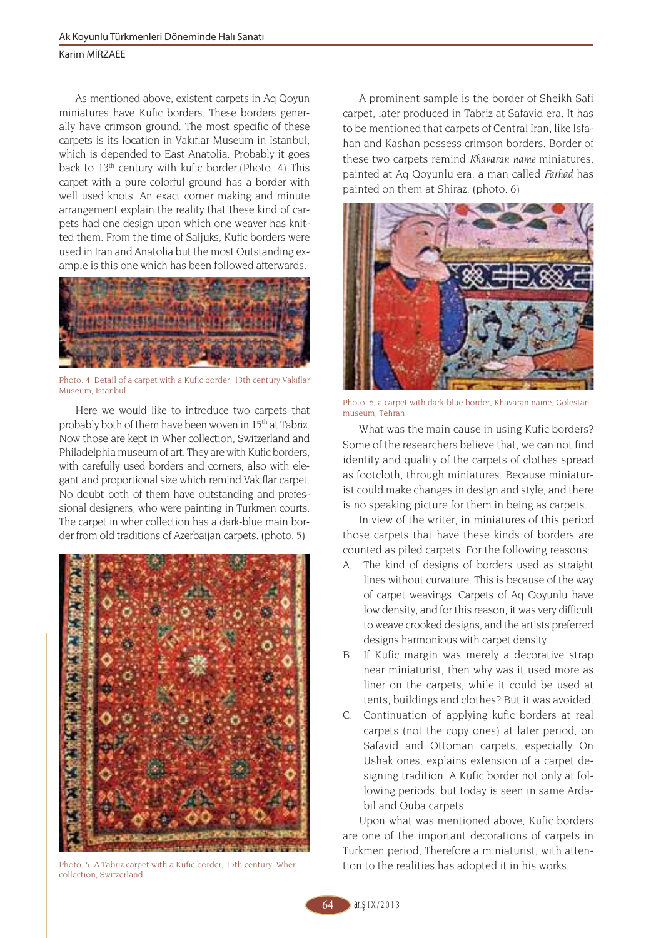### Karim MİRZAEE

As mentioned above, existent carpets in Aq Qoyun miniatures have Kufic borders. These borders generally have crimson ground. The most specific of these carpets is its location in Vakıflar Museum in Istanbul, which is depended to East Anatolia. Probably it goes back to 13th century with kufic border.(Photo. 4) This carpet with a pure colorful ground has a border with well used knots. An exact corner making and minute arrangement explain the reality that these kind of carpets had one design upon which one weaver has knitted them. From the time of Saljuks, Kufic borders were used in Iran and Anatolia but the most Outstanding example is this one which has been followed afterwards.



Photo. 4, Detail of a carpet with a Kufic border, 13th century,Vakıflar Museum, Istanbul

Here we would like to introduce two carpets that probably both of them have been woven in 15<sup>th</sup> at Tabriz. Now those are kept in Wher collection, Switzerland and Philadelphia museum of art. They are with Kufic borders, with carefully used borders and corners, also with elegant and proportional size which remind Vakıflar carpet. No doubt both of them have outstanding and professional designers, who were painting in Turkmen courts. The carpet in wher collection has a dark-blue main border from old traditions of Azerbaijan carpets. (photo. 5)



Photo. 5, A Tabriz carpet with a Kufic border, 15th century, Wher collection, Switzerland

A prominent sample is the border of Sheikh Safi carpet, later produced in Tabriz at Safavid era. It has to be mentioned that carpets of Central Iran, like Isfahan and Kashan possess crimson borders. Border of these two carpets remind *Khavaran name* miniatures, painted at Aq Qoyunlu era, a man called *Farhad* has painted on them at Shiraz. (photo. 6)



Photo. 6, a carpet with dark-blue border, Khavaran name, Golestan museum, Tehran

What was the main cause in using Kufic borders? Some of the researchers believe that, we can not find identity and quality of the carpets of clothes spread as footcloth, through miniatures. Because miniaturist could make changes in design and style, and there is no speaking picture for them in being as carpets.

In view of the writer, in miniatures of this period those carpets that have these kinds of borders are counted as piled carpets. For the following reasons:

- A. The kind of designs of borders used as straight lines without curvature. This is because of the way of carpet weavings. Carpets of Aq Qoyunlu have low density, and for this reason, it was very difficult to weave crooked designs, and the artists preferred designs harmonious with carpet density.
- B. If Kufic margin was merely a decorative strap near miniaturist, then why was it used more as liner on the carpets, while it could be used at tents, buildings and clothes? But it was avoided.
- C. Continuation of applying kufic borders at real carpets (not the copy ones) at later period, on Safavid and Ottoman carpets, especially On Ushak ones, explains extension of a carpet designing tradition. A Kufic border not only at following periods, but today is seen in same Ardabil and Quba carpets.

Upon what was mentioned above, Kufic borders are one of the important decorations of carpets in Turkmen period, Therefore a miniaturist, with attention to the realities has adopted it in his works.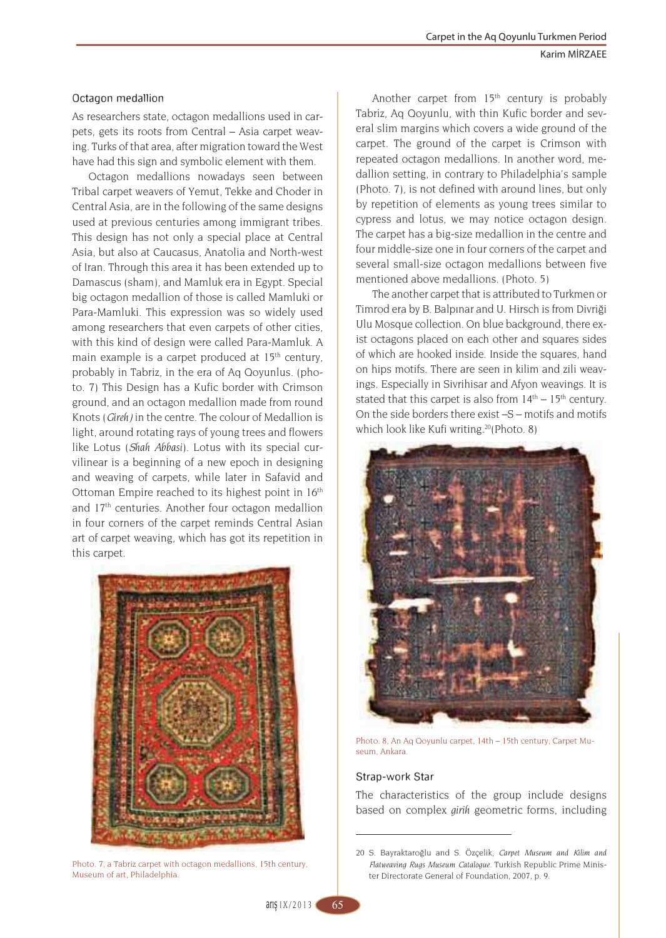# Octagon medallion

As researchers state, octagon medallions used in carpets, gets its roots from Central – Asia carpet weaving. Turks of that area, after migration toward the West have had this sign and symbolic element with them.

Octagon medallions nowadays seen between Tribal carpet weavers of Yemut, Tekke and Choder in Central Asia, are in the following of the same designs used at previous centuries among immigrant tribes. This design has not only a special place at Central Asia, but also at Caucasus, Anatolia and North-west of Iran. Through this area it has been extended up to Damascus (sham), and Mamluk era in Egypt. Special big octagon medallion of those is called Mamluki or Para-Mamluki. This expression was so widely used among researchers that even carpets of other cities, with this kind of design were called Para-Mamluk. A main example is a carpet produced at 15<sup>th</sup> century, probably in Tabriz, in the era of Aq Qoyunlus. (photo. 7) This Design has a Kufic border with Crimson ground, and an octagon medallion made from round Knots (*Gireh)* in the centre. The colour of Medallion is light, around rotating rays of young trees and flowers like Lotus (*Shah Abbasi*). Lotus with its special curvilinear is a beginning of a new epoch in designing and weaving of carpets, while later in Safavid and Ottoman Empire reached to its highest point in 16th and 17th centuries. Another four octagon medallion in four corners of the carpet reminds Central Asian art of carpet weaving, which has got its repetition in this carpet.



Photo. 7, a Tabriz carpet with octagon medallions, 15th century, Museum of art, Philadelphia.

Another carpet from  $15<sup>th</sup>$  century is probably Tabriz, Aq Qoyunlu, with thin Kufic border and several slim margins which covers a wide ground of the carpet. The ground of the carpet is Crimson with repeated octagon medallions. In another word, medallion setting, in contrary to Philadelphia's sample (Photo. 7), is not defined with around lines, but only by repetition of elements as young trees similar to cypress and lotus, we may notice octagon design. The carpet has a big-size medallion in the centre and four middle-size one in four corners of the carpet and several small-size octagon medallions between five mentioned above medallions. (Photo. 5)

The another carpet that is attributed to Turkmen or Timrod era by B. Balpınar and U. Hirsch is from Divriği Ulu Mosque collection. On blue background, there exist octagons placed on each other and squares sides of which are hooked inside. Inside the squares, hand on hips motifs. There are seen in kilim and zili weavings. Especially in Sivrihisar and Afyon weavings. It is stated that this carpet is also from  $14<sup>th</sup> - 15<sup>th</sup>$  century. On the side borders there exist –S – motifs and motifs which look like Kufi writing.<sup>20</sup>(Photo. 8)



Photo. 8, An Aq Qoyunlu carpet, 14th – 15th century, Carpet Museum, Ankara.

# Strap-work Star

The characteristics of the group include designs based on complex *girih* geometric forms, including

<sup>20</sup> S. Bayraktaroğlu and S. Özçelik, *Carpet Museum and Kilim and Flatweaving Rugs Museum Catalogue.* Turkish Republic Prime Minister Directorate General of Foundation, 2007, p. 9.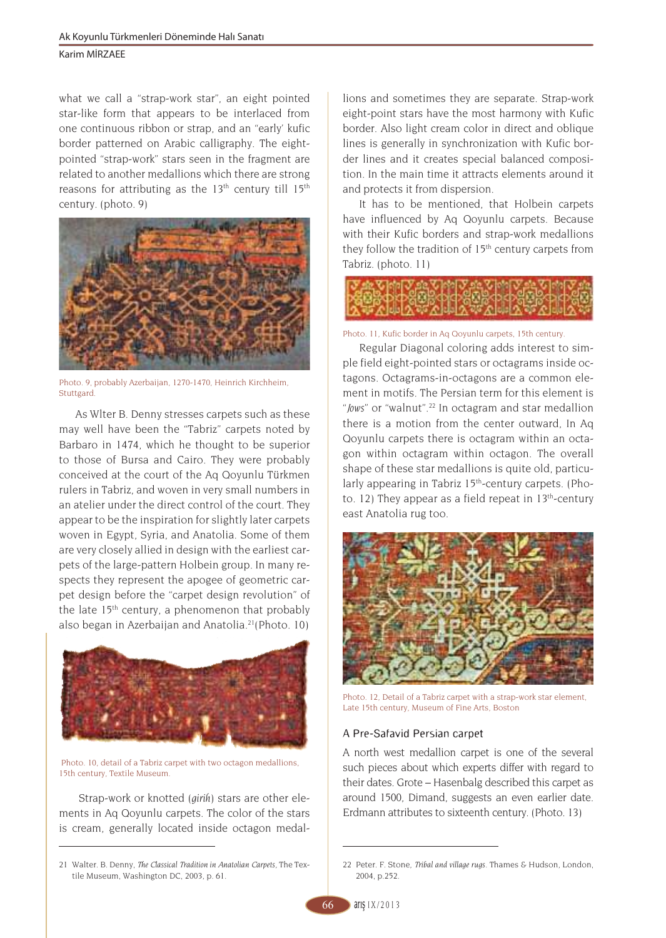Karim MİRZAEE

what we call a "strap-work star", an eight pointed star-like form that appears to be interlaced from one continuous ribbon or strap, and an "early' kufic border patterned on Arabic calligraphy. The eightpointed "strap-work" stars seen in the fragment are related to another medallions which there are strong reasons for attributing as the  $13<sup>th</sup>$  century till  $15<sup>th</sup>$ century. (photo. 9)



Photo. 9, probably Azerbaijan, 1270-1470, Heinrich Kirchheim, Stuttgard

As Wlter B. Denny stresses carpets such as these may well have been the "Tabriz" carpets noted by Barbaro in 1474, which he thought to be superior to those of Bursa and Cairo. They were probably conceived at the court of the Aq Qoyunlu Türkmen rulers in Tabriz, and woven in very small numbers in an atelier under the direct control of the court. They appear to be the inspiration for slightly later carpets woven in Egypt, Syria, and Anatolia. Some of them are very closely allied in design with the earliest carpets of the large-pattern Holbein group. In many respects they represent the apogee of geometric carpet design before the "carpet design revolution" of the late 15th century, a phenomenon that probably also began in Azerbaijan and Anatolia.<sup>21</sup> (Photo. 10)



 Photo. 10, detail of a Tabriz carpet with two octagon medallions, 15th century, Textile Museum.

 Strap-work or knotted (*girih*) stars are other elements in Aq Qoyunlu carpets. The color of the stars is cream, generally located inside octagon medallions and sometimes they are separate. Strap-work eight-point stars have the most harmony with Kufic border. Also light cream color in direct and oblique lines is generally in synchronization with Kufic border lines and it creates special balanced composition. In the main time it attracts elements around it and protects it from dispersion.

It has to be mentioned, that Holbein carpets have influenced by Aq Qoyunlu carpets. Because with their Kufic borders and strap-work medallions they follow the tradition of 15<sup>th</sup> century carpets from Tabriz. (photo. 11)



Photo. 11, Kufic border in Aq Qoyunlu carpets, 15th century.

Regular Diagonal coloring adds interest to simple field eight-pointed stars or octagrams inside octagons. Octagrams-in-octagons are a common element in motifs. The Persian term for this element is "*Jows*" or "walnut".<sup>22</sup> In octagram and star medallion there is a motion from the center outward, In Aq Qoyunlu carpets there is octagram within an octagon within octagram within octagon. The overall shape of these star medallions is quite old, particularly appearing in Tabriz 15<sup>th</sup>-century carpets. (Photo. 12) They appear as a field repeat in  $13<sup>th</sup>$ -century east Anatolia rug too.



Photo. 12, Detail of a Tabriz carpet with a strap-work star element, Late 15th century, Museum of Fine Arts, Boston

# A Pre-Safavid Persian carpet

A north west medallion carpet is one of the several such pieces about which experts differ with regard to their dates. Grote – Hasenbalg described this carpet as around 1500, Dimand, suggests an even earlier date. Erdmann attributes to sixteenth century. (Photo. 13)

<sup>21</sup> Walter. B. Denny, *The Classical Tradition in Anatolian Carpets,* The Textile Museum, Washington DC, 2003, p. 61.

<sup>22</sup> Peter. F. Stone, *Tribal and village rugs.* Thames & Hudson, London, 2004, p.252.